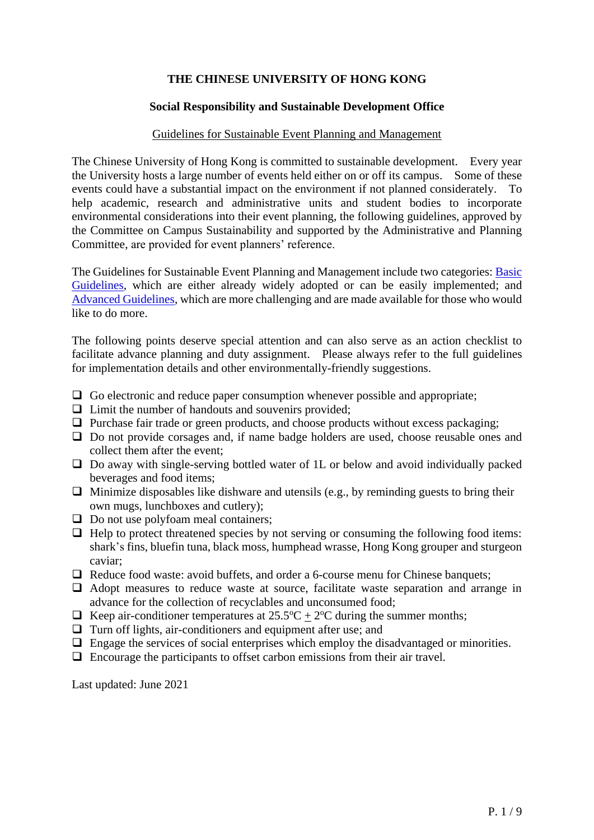## **THE CHINESE UNIVERSITY OF HONG KONG**

#### **Social Responsibility and Sustainable Development Office**

#### Guidelines for Sustainable Event Planning and Management

The Chinese University of Hong Kong is committed to sustainable development. Every year the University hosts a large number of events held either on or off its campus. Some of these events could have a substantial impact on the environment if not planned considerately. To help academic, research and administrative units and student bodies to incorporate environmental considerations into their event planning, the following guidelines, approved by the Committee on Campus Sustainability and supported by the Administrative and Planning Committee, are provided for event planners' reference.

The Guidelines for Sustainable Event Planning and Management include two categories: **Basic** [Guidelines,](#page-1-0) which are either already widely adopted or can be easily implemented; and [Advanced Guidelines,](#page-4-0) which are more challenging and are made available for those who would like to do more.

The following points deserve special attention and can also serve as an action checklist to facilitate advance planning and duty assignment. Please always refer to the full guidelines for implementation details and other environmentally-friendly suggestions.

- $\Box$  Go electronic and reduce paper consumption whenever possible and appropriate;
- $\Box$  Limit the number of handouts and souvenirs provided;
- $\Box$  Purchase fair trade or green products, and choose products without excess packaging;
- $\Box$  Do not provide corsages and, if name badge holders are used, choose reusable ones and collect them after the event;
- $\Box$  Do away with single-serving bottled water of 1L or below and avoid individually packed beverages and food items;
- $\Box$  Minimize disposables like dishware and utensils (e.g., by reminding guests to bring their own mugs, lunchboxes and cutlery);
- $\Box$  Do not use polyfoam meal containers;
- $\Box$  Help to protect threatened species by not serving or consuming the following food items: shark's fins, bluefin tuna, black moss, humphead wrasse, Hong Kong grouper and sturgeon caviar;
- $\Box$  Reduce food waste: avoid buffets, and order a 6-course menu for Chinese banquets;
- $\Box$  Adopt measures to reduce waste at source, facilitate waste separation and arrange in advance for the collection of recyclables and unconsumed food;
- E Keep air-conditioner temperatures at  $25.5^{\circ}\text{C} + 2^{\circ}\text{C}$  during the summer months;
- $\Box$  Turn off lights, air-conditioners and equipment after use; and
- $\Box$  Engage the services of social enterprises which employ the disadvantaged or minorities.
- $\Box$  Encourage the participants to offset carbon emissions from their air travel.

Last updated: June 2021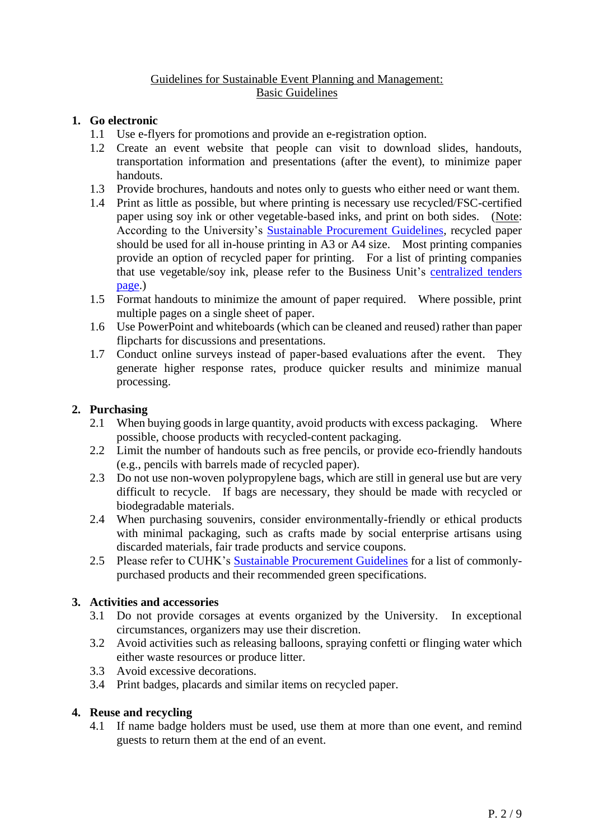## Guidelines for Sustainable Event Planning and Management: Basic Guidelines

## <span id="page-1-0"></span>**1. Go electronic**

- 1.1 Use e-flyers for promotions and provide an e-registration option.
- 1.2 Create an event website that people can visit to download slides, handouts, transportation information and presentations (after the event), to minimize paper handouts.
- 1.3 Provide brochures, handouts and notes only to guests who either need or want them.
- 1.4 Print as little as possible, but where printing is necessary use recycled/FSC-certified paper using soy ink or other vegetable-based inks, and print on both sides. (Note: According to the University's **Sustainable Procurement Guidelines**, recycled paper should be used for all in-house printing in A3 or A4 size. Most printing companies provide an option of recycled paper for printing. For a list of printing companies that use vegetable/soy ink, please refer to the Business Unit's [centralized tenders](https://www.cuhk.edu.hk/fno/stf/eng/bus_centralized_tenders.html)  [page.](https://www.cuhk.edu.hk/fno/stf/eng/bus_centralized_tenders.html))
- 1.5 Format handouts to minimize the amount of paper required. Where possible, print multiple pages on a single sheet of paper.
- 1.6 Use PowerPoint and whiteboards (which can be cleaned and reused) rather than paper flipcharts for discussions and presentations.
- 1.7 Conduct online surveys instead of paper-based evaluations after the event. They generate higher response rates, produce quicker results and minimize manual processing.

## **2. Purchasing**

- 2.1 When buying goods in large quantity, avoid products with excess packaging. Where possible, choose products with recycled-content packaging.
- 2.2 Limit the number of handouts such as free pencils, or provide eco-friendly handouts (e.g., pencils with barrels made of recycled paper).
- 2.3 Do not use non-woven polypropylene bags, which are still in general use but are very difficult to recycle. If bags are necessary, they should be made with recycled or biodegradable materials.
- 2.4 When purchasing souvenirs, consider environmentally-friendly or ethical products with minimal packaging, such as crafts made by social enterprise artisans using discarded materials, fair trade products and service coupons.
- 2.5 Please refer to CUHK's [Sustainable Procurement Guidelines](https://www.srsdo.cuhk.edu.hk/images/documents/policies/sustainable-procurement-guidelines.pdf) for a list of commonlypurchased products and their recommended green specifications.

## **3. Activities and accessories**

- 3.1 Do not provide corsages at events organized by the University. In exceptional circumstances, organizers may use their discretion.
- 3.2 Avoid activities such as releasing balloons, spraying confetti or flinging water which either waste resources or produce litter.
- 3.3 Avoid excessive decorations.
- 3.4 Print badges, placards and similar items on recycled paper.

#### **4. Reuse and recycling**

4.1 If name badge holders must be used, use them at more than one event, and remind guests to return them at the end of an event.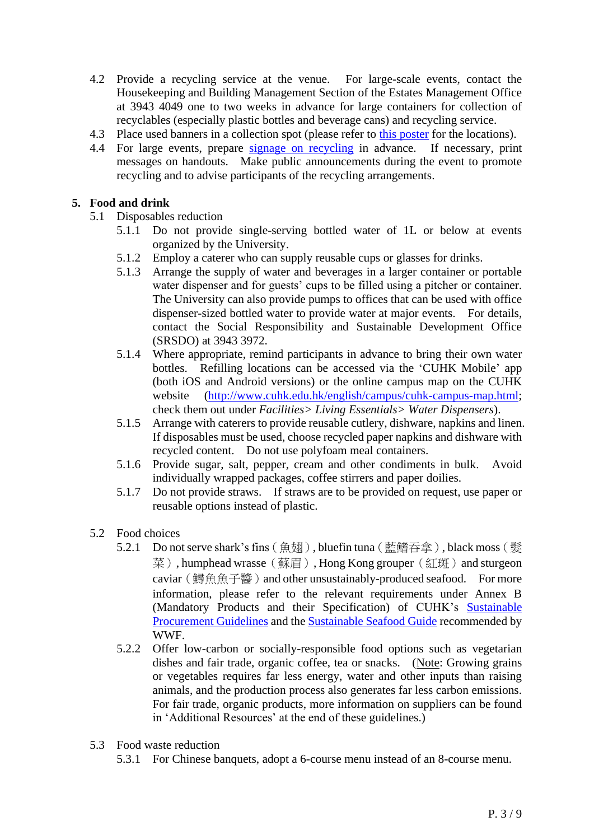- 4.2 Provide a recycling service at the venue. For large-scale events, contact the Housekeeping and Building Management Section of the Estates Management Office at 3943 4049 one to two weeks in advance for large containers for collection of recyclables (especially plastic bottles and beverage cans) and recycling service.
- 4.3 Place used banners in a collection spot (please refer to [this poster](http://www.srsdo.cuhk.edu.hk/images/documents/greentips/Recycling-locations-poster-campus-locations.pdf) for the locations).
- 4.4 For large events, prepare [signage on recycling](http://www.srsdo.cuhk.edu.hk/images/documents/greentips/Recycling-tips-poster-for-on-campus-recycling.pdf) in advance. If necessary, print messages on handouts. Make public announcements during the event to promote recycling and to advise participants of the recycling arrangements.

## **5. Food and drink**

- 5.1 Disposables reduction
	- 5.1.1 Do not provide single-serving bottled water of 1L or below at events organized by the University.
	- 5.1.2 Employ a caterer who can supply reusable cups or glasses for drinks.
	- 5.1.3 Arrange the supply of water and beverages in a larger container or portable water dispenser and for guests' cups to be filled using a pitcher or container. The University can also provide pumps to offices that can be used with office dispenser-sized bottled water to provide water at major events. For details, contact the Social Responsibility and Sustainable Development Office (SRSDO) at 3943 3972.
	- 5.1.4 Where appropriate, remind participants in advance to bring their own water bottles. Refilling locations can be accessed via the 'CUHK Mobile' app (both iOS and Android versions) or the online campus map on the CUHK website [\(http://www.cuhk.edu.hk/english/campus/cuhk-campus-map.html;](http://www.cuhk.edu.hk/english/campus/cuhk-campus-map.html) check them out under *Facilities> Living Essentials> Water Dispensers*).
	- 5.1.5 Arrange with caterers to provide reusable cutlery, dishware, napkins and linen. If disposables must be used, choose recycled paper napkins and dishware with recycled content. Do not use polyfoam meal containers.
	- 5.1.6 Provide sugar, salt, pepper, cream and other condiments in bulk. Avoid individually wrapped packages, coffee stirrers and paper doilies.
	- 5.1.7 Do not provide straws. If straws are to be provided on request, use paper or reusable options instead of plastic.
- 5.2 Food choices
	- 5.2.1 Do not serve shark's fins(魚翅), bluefin tuna(藍鰭吞拿), black moss(髮 菜), humphead wrasse (蘇眉), Hong Kong grouper (紅斑) and sturgeon caviar (鱘魚魚子醬) and other unsustainably-produced seafood. For more information, please refer to the relevant requirements under Annex B (Mandatory Products and their Specification) of CUHK's **Sustainable** [Procurement Guidelines](https://www.srsdo.cuhk.edu.hk/images/documents/policies/sustainable-procurement-guidelines.pdf) and the [Sustainable Seafood Guide](http://www.wwf.org.hk/en/whatwedo/footprint/seafood/sci/) recommended by WWF.
	- 5.2.2 Offer low-carbon or socially-responsible food options such as vegetarian dishes and fair trade, organic coffee, tea or snacks. (Note: Growing grains or vegetables requires far less energy, water and other inputs than raising animals, and the production process also generates far less carbon emissions. For fair trade, organic products, more information on suppliers can be found in 'Additional Resources' at the end of these guidelines.)
- 5.3 Food waste reduction
	- 5.3.1 For Chinese banquets, adopt a 6-course menu instead of an 8-course menu.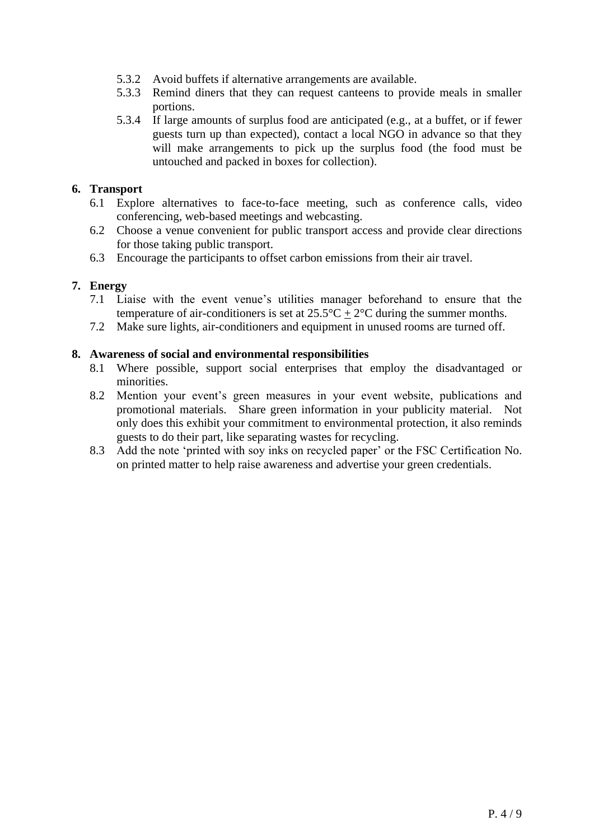- 5.3.2 Avoid buffets if alternative arrangements are available.
- 5.3.3 Remind diners that they can request canteens to provide meals in smaller portions.
- 5.3.4 If large amounts of surplus food are anticipated (e.g., at a buffet, or if fewer guests turn up than expected), contact a local NGO in advance so that they will make arrangements to pick up the surplus food (the food must be untouched and packed in boxes for collection).

## **6. Transport**

- 6.1 Explore alternatives to face-to-face meeting, such as conference calls, video conferencing, web-based meetings and webcasting.
- 6.2 Choose a venue convenient for public transport access and provide clear directions for those taking public transport.
- 6.3 Encourage the participants to offset carbon emissions from their air travel.

## **7. Energy**

- 7.1 Liaise with the event venue's utilities manager beforehand to ensure that the temperature of air-conditioners is set at  $25.5^{\circ}\text{C} + 2^{\circ}\text{C}$  during the summer months.
- 7.2 Make sure lights, air-conditioners and equipment in unused rooms are turned off.

#### **8. Awareness of social and environmental responsibilities**

- 8.1 Where possible, support social enterprises that employ the disadvantaged or minorities.
- 8.2 Mention your event's green measures in your event website, publications and promotional materials. Share green information in your publicity material. Not only does this exhibit your commitment to environmental protection, it also reminds guests to do their part, like separating wastes for recycling.
- 8.3 Add the note 'printed with soy inks on recycled paper' or the FSC Certification No. on printed matter to help raise awareness and advertise your green credentials.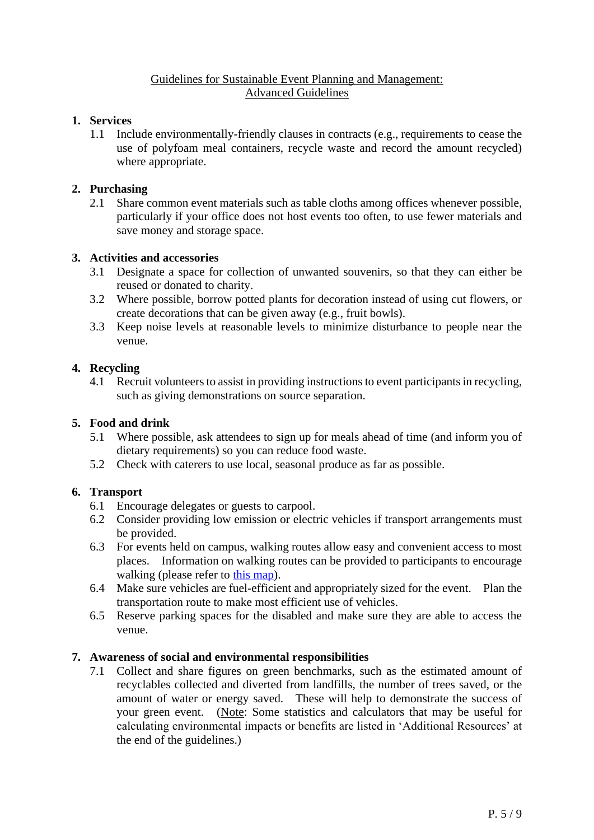#### Guidelines for Sustainable Event Planning and Management: Advanced Guidelines

## <span id="page-4-0"></span>**1. Services**

1.1 Include environmentally-friendly clauses in contracts (e.g., requirements to cease the use of polyfoam meal containers, recycle waste and record the amount recycled) where appropriate.

#### **2. Purchasing**

2.1 Share common event materials such as table cloths among offices whenever possible, particularly if your office does not host events too often, to use fewer materials and save money and storage space.

## **3. Activities and accessories**

- 3.1 Designate a space for collection of unwanted souvenirs, so that they can either be reused or donated to charity.
- 3.2 Where possible, borrow potted plants for decoration instead of using cut flowers, or create decorations that can be given away (e.g., fruit bowls).
- 3.3 Keep noise levels at reasonable levels to minimize disturbance to people near the venue.

#### **4. Recycling**

4.1 Recruit volunteers to assist in providing instructions to event participants in recycling, such as giving demonstrations on source separation.

#### **5. Food and drink**

- 5.1 Where possible, ask attendees to sign up for meals ahead of time (and inform you of dietary requirements) so you can reduce food waste.
- 5.2 Check with caterers to use local, seasonal produce as far as possible.

#### **6. Transport**

- 6.1 Encourage delegates or guests to carpool.
- 6.2 Consider providing low emission or electric vehicles if transport arrangements must be provided.
- 6.3 For events held on campus, walking routes allow easy and convenient access to most places. Information on walking routes can be provided to participants to encourage walking (please refer to [this map\)](http://www.cuhk.edu.hk/english/images/campus/walking-routes.jpg).
- 6.4 Make sure vehicles are fuel-efficient and appropriately sized for the event. Plan the transportation route to make most efficient use of vehicles.
- 6.5 Reserve parking spaces for the disabled and make sure they are able to access the venue.

#### **7. Awareness of social and environmental responsibilities**

7.1 Collect and share figures on green benchmarks, such as the estimated amount of recyclables collected and diverted from landfills, the number of trees saved, or the amount of water or energy saved. These will help to demonstrate the success of your green event. (Note: Some statistics and calculators that may be useful for calculating environmental impacts or benefits are listed in 'Additional Resources' at the end of the guidelines.)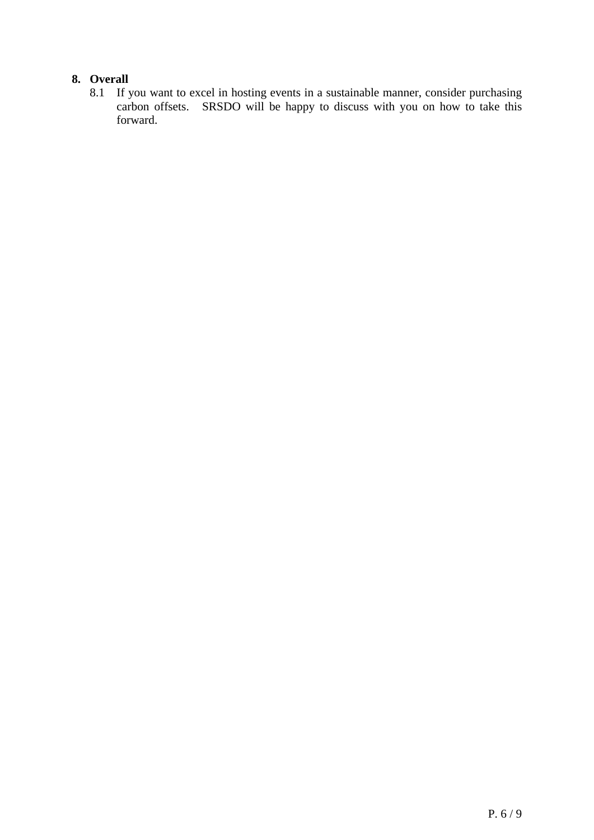# **8. Overall**

8.1 If you want to excel in hosting events in a sustainable manner, consider purchasing carbon offsets. SRSDO will be happy to discuss with you on how to take this forward.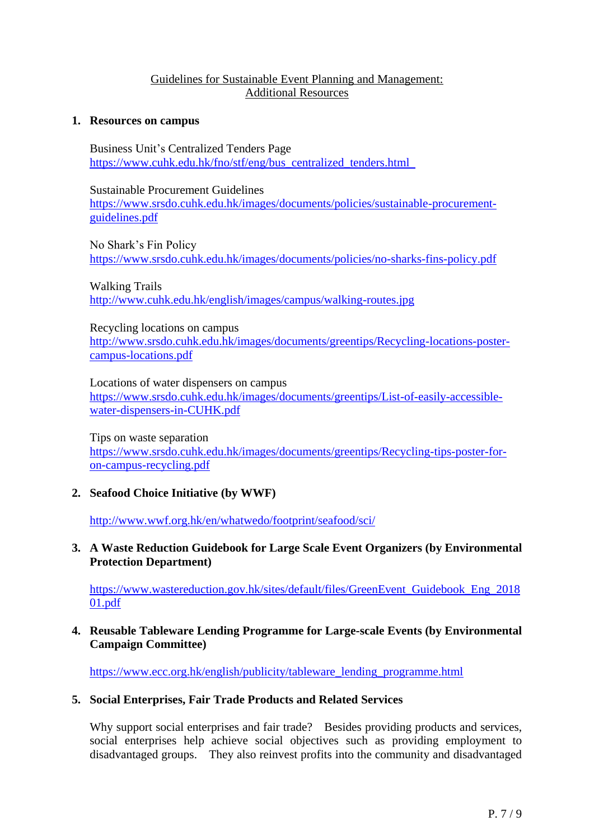#### Guidelines for Sustainable Event Planning and Management: Additional Resources

#### **1. Resources on campus**

Business Unit's Centralized Tenders Page [https://www.cuhk.edu.hk/fno/stf/eng/bus\\_centralized\\_tenders.html](https://www.cuhk.edu.hk/fno/stf/eng/bus_centralized_tenders.html)

Sustainable Procurement Guidelines [https://www.srsdo.cuhk.edu.hk/images/documents/policies/sustainable-procurement](https://www.srsdo.cuhk.edu.hk/images/documents/policies/sustainable-procurement-guidelines.pdf)[guidelines.pdf](https://www.srsdo.cuhk.edu.hk/images/documents/policies/sustainable-procurement-guidelines.pdf)

No Shark's Fin Policy <https://www.srsdo.cuhk.edu.hk/images/documents/policies/no-sharks-fins-policy.pdf>

Walking Trails <http://www.cuhk.edu.hk/english/images/campus/walking-routes.jpg>

Recycling locations on campus

[http://www.srsdo.cuhk.edu.hk/images/documents/greentips/Recycling-locations-poster](http://www.srsdo.cuhk.edu.hk/images/documents/greentips/Recycling-locations-poster-campus-locations.pdf)[campus-locations.pdf](http://www.srsdo.cuhk.edu.hk/images/documents/greentips/Recycling-locations-poster-campus-locations.pdf)

Locations of water dispensers on campus [https://www.srsdo.cuhk.edu.hk/images/documents/greentips/List-of-easily-accessible](https://www.srsdo.cuhk.edu.hk/images/documents/greentips/List-of-easily-accessible-water-dispensers-in-CUHK.pdf)[water-dispensers-in-CUHK.pdf](https://www.srsdo.cuhk.edu.hk/images/documents/greentips/List-of-easily-accessible-water-dispensers-in-CUHK.pdf)

Tips on waste separation [https://www.srsdo.cuhk.edu.hk/images/documents/greentips/Recycling-tips-poster-for](https://www.srsdo.cuhk.edu.hk/images/documents/greentips/Recycling-tips-poster-for-on-campus-recycling.pdf)[on-campus-recycling.pdf](https://www.srsdo.cuhk.edu.hk/images/documents/greentips/Recycling-tips-poster-for-on-campus-recycling.pdf)

**2. Seafood Choice Initiative (by WWF)**

<http://www.wwf.org.hk/en/whatwedo/footprint/seafood/sci/>

## **3. A Waste Reduction Guidebook for Large Scale Event Organizers (by Environmental Protection Department)**

[https://www.wastereduction.gov.hk/sites/default/files/GreenEvent\\_Guidebook\\_Eng\\_2018](https://www.wastereduction.gov.hk/sites/default/files/GreenEvent_Guidebook_Eng_201801.pdf) [01.pdf](https://www.wastereduction.gov.hk/sites/default/files/GreenEvent_Guidebook_Eng_201801.pdf)

#### **4. Reusable Tableware Lending Programme for Large-scale Events (by Environmental Campaign Committee)**

[https://www.ecc.org.hk/english/publicity/tableware\\_lending\\_programme.html](https://www.ecc.org.hk/english/publicity/tableware_lending_programme.html)

## **5. Social Enterprises, Fair Trade Products and Related Services**

Why support social enterprises and fair trade? Besides providing products and services, social enterprises help achieve social objectives such as providing employment to disadvantaged groups. They also reinvest profits into the community and disadvantaged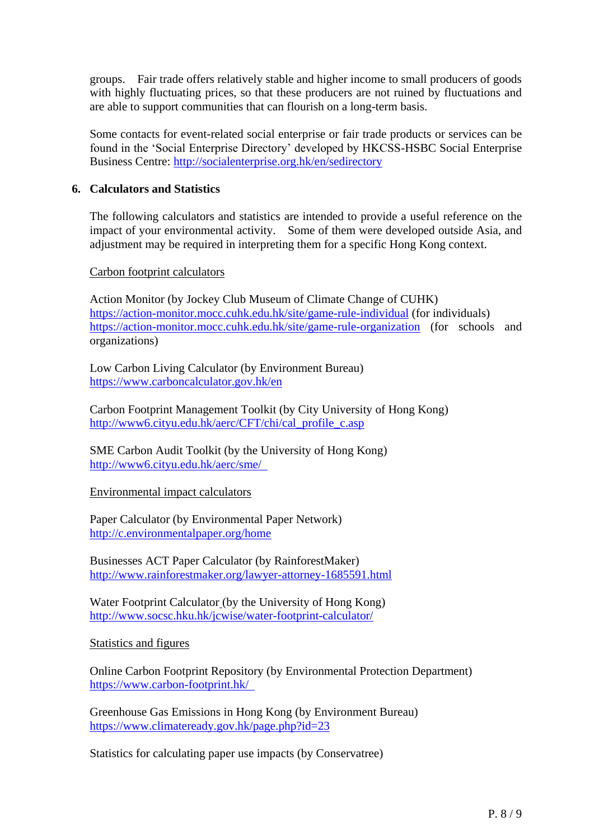groups. Fair trade offers relatively stable and higher income to small producers of goods with highly fluctuating prices, so that these producers are not ruined by fluctuations and are able to support communities that can flourish on a long-term basis.

Some contacts for event-related social enterprise or fair trade products or services can be found in the 'Social Enterprise Directory' developed by HKCSS-HSBC Social Enterprise Business Centre:<http://socialenterprise.org.hk/en/sedirectory>

## **6. Calculators and Statistics**

The following calculators and statistics are intended to provide a useful reference on the impact of your environmental activity. Some of them were developed outside Asia, and adjustment may be required in interpreting them for a specific Hong Kong context.

#### Carbon footprint calculators

Action Monitor (by Jockey Club Museum of Climate Change of CUHK) <https://action-monitor.mocc.cuhk.edu.hk/site/game-rule-individual> (for individuals) <https://action-monitor.mocc.cuhk.edu.hk/site/game-rule-organization> (for schools and organizations)

Low Carbon Living Calculator (by Environment Bureau) <https://www.carboncalculator.gov.hk/en>

Carbon Footprint Management Toolkit (by City University of Hong Kong) [http://www6.cityu.edu.hk/aerc/CFT/chi/cal\\_profile\\_c.asp](http://www6.cityu.edu.hk/aerc/CFT/chi/cal_profile_c.asp)

SME Carbon Audit Toolkit (by the University of Hong Kong) <http://www6.cityu.edu.hk/aerc/sme/>

Environmental impact calculators

Paper Calculator (by Environmental Paper Network) <http://c.environmentalpaper.org/home>

Businesses ACT Paper Calculator (by RainforestMaker) <http://www.rainforestmaker.org/lawyer-attorney-1685591.html>

Water Footprint Calculator (by the University of Hong Kong) <http://www.socsc.hku.hk/jcwise/water-footprint-calculator/>

#### Statistics and figures

Online Carbon Footprint Repository (by Environmental Protection Department) <https://www.carbon-footprint.hk/>

Greenhouse Gas Emissions in Hong Kong (by Environment Bureau) <https://www.climateready.gov.hk/page.php?id=23>

Statistics for calculating paper use impacts (by Conservatree)